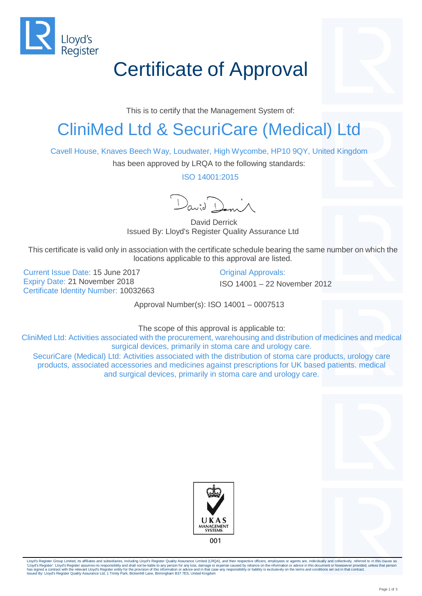

## Certificate of Approval

This is to certify that the Management System of:

## CliniMed Ltd & SecuriCare (Medical) Ltd

Cavell House, Knaves Beech Way, Loudwater, High Wycombe, HP10 9QY, United Kingdom

has been approved by LRQA to the following standards:

ISO 14001:2015

 $D_{\alpha\alpha\beta}$ 

David Derrick Issued By: Lloyd's Register Quality Assurance Ltd

This certificate is valid only in association with the certificate schedule bearing the same number on which the locations applicable to this approval are listed.

Current Issue Date: 15 June 2017 Current Issue Date: 15 June 2017 Expiry Date: 21 November 2018 **ISO 14001** – 22 November 2012 Certificate Identity Number: 10032663

Approval Number(s): ISO 14001 – 0007513

The scope of this approval is applicable to:

CliniMed Ltd: Activities associated with the procurement, warehousing and distribution of medicines and medical surgical devices, primarily in stoma care and urology care.

SecuriCare (Medical) Ltd: Activities associated with the distribution of stoma care products, urology care products, associated accessories and medicines against prescriptions for UK based patients. medical and surgical devices, primarily in stoma care and urology care.





Lloyd's Register Group Limited, its affiliates and subsidiaries, including Lloyd's Register Quality Assurance Limited (LRQA), and their respective officers, employees or agents are, individually and collectively, referred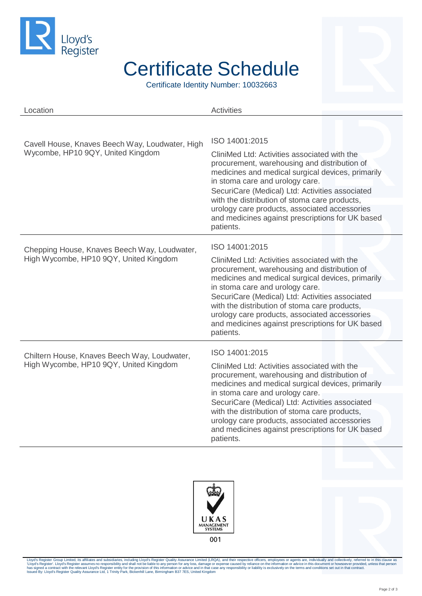

## Certificate Schedule

Certificate Identity Number: 10032663

| Location                                                                               | <b>Activities</b>                                                                                                                                                                                                                                     |
|----------------------------------------------------------------------------------------|-------------------------------------------------------------------------------------------------------------------------------------------------------------------------------------------------------------------------------------------------------|
|                                                                                        |                                                                                                                                                                                                                                                       |
| Cavell House, Knaves Beech Way, Loudwater, High<br>Wycombe, HP10 9QY, United Kingdom   | ISO 14001:2015                                                                                                                                                                                                                                        |
|                                                                                        | CliniMed Ltd: Activities associated with the<br>procurement, warehousing and distribution of<br>medicines and medical surgical devices, primarily<br>in stoma care and urology care.                                                                  |
|                                                                                        | SecuriCare (Medical) Ltd: Activities associated<br>with the distribution of stoma care products,                                                                                                                                                      |
|                                                                                        | urology care products, associated accessories<br>and medicines against prescriptions for UK based<br>patients.                                                                                                                                        |
| Chepping House, Knaves Beech Way, Loudwater,<br>High Wycombe, HP10 9QY, United Kingdom | ISO 14001:2015                                                                                                                                                                                                                                        |
|                                                                                        | CliniMed Ltd: Activities associated with the<br>procurement, warehousing and distribution of<br>medicines and medical surgical devices, primarily<br>in stoma care and urology care.                                                                  |
|                                                                                        | SecuriCare (Medical) Ltd: Activities associated<br>with the distribution of stoma care products,<br>urology care products, associated accessories<br>and medicines against prescriptions for UK based<br>patients.                                    |
| Chiltern House, Knaves Beech Way, Loudwater,<br>High Wycombe, HP10 9QY, United Kingdom | ISO 14001:2015                                                                                                                                                                                                                                        |
|                                                                                        | CliniMed Ltd: Activities associated with the<br>procurement, warehousing and distribution of<br>medicines and medical surgical devices, primarily                                                                                                     |
|                                                                                        | in stoma care and urology care.<br>SecuriCare (Medical) Ltd: Activities associated<br>with the distribution of stoma care products,<br>urology care products, associated accessories<br>and medicines against prescriptions for UK based<br>patients. |





Lloyd's Register Group Limited, its affiliates and subsidiaries, including Lloyd's Register Quality Assurance Limited (LRQA), and their respective officers, employees or agents are, individually and collectively, referred